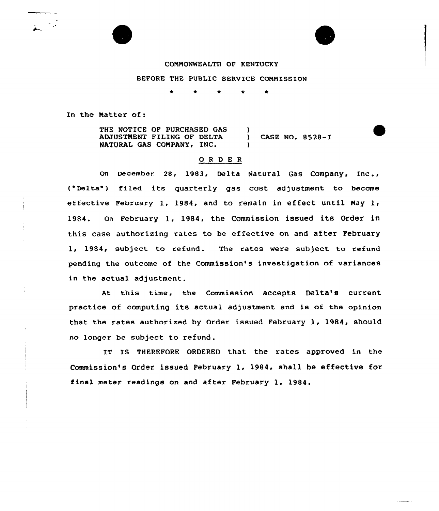## COMMONWEALTH OF KENTUCKY

## BEFORE THE PUBLIC SERVICE COMMISSION

\* \* \*

In the Matter of:

THE NOTICE OF PURCHASED GAS ADJUSTMENT FILING OF DELTA NATURAL GAS COMPANY, INC.  $\left\{ \right.$ ) CASE NO. 8528-I )

## O R D E R

On December 28, 1983, Delta Natural Gas Company, Inc., ("Delta") filed its quarterly gas cost adjustment to become effective February 1, 1984, and to remain in effect until May 1, 1984. On February 1, 1984, the Commission issued its Order in this case authorizing rates to be effective on and after February 1, 1984, subject to refund. The rates were subject to refund pending the outcome of the Commission's investigation of variances in the actual adjustment.

At this time, the Commission accepts Delta's current practice of computing its actual adjustment and is of the opinion that the rates authorized by Order issued February 1, 1984, should no longer be subject to refund .

IT IS THEREFORE ORDERED that the rates approved in the Commission's Order issued February 1, 1984, shall be effective for final meter readings on and after February 1, 1984.